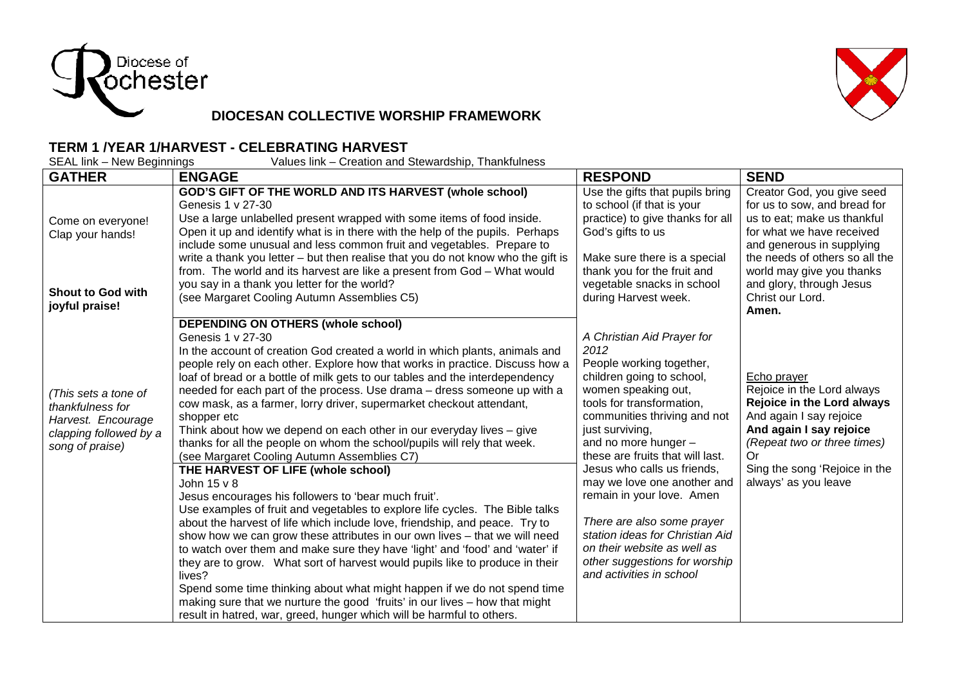



## **DIOCESAN COLLECTIVE WORSHIP FRAMEWORK**

## **TERM 1 /YEAR 1/HARVEST - CELEBRATING HARVEST**

| SEAL link – New Beginnings<br>Values link – Creation and Stewardship, Thankfulness                          |                                                                                                                                                                                                                                                                                                                                                                                                                                                                                                                                                                                                                                                                                                                                                                                                                                                                                                                                                                                                                                                                                                                                                                                                                                                                                                                                                                                                                                                      |                                                                                                                                                                                                                                                                                                                                                                                                                                                                                                                        |                                                                                                                                                                                                                             |  |  |
|-------------------------------------------------------------------------------------------------------------|------------------------------------------------------------------------------------------------------------------------------------------------------------------------------------------------------------------------------------------------------------------------------------------------------------------------------------------------------------------------------------------------------------------------------------------------------------------------------------------------------------------------------------------------------------------------------------------------------------------------------------------------------------------------------------------------------------------------------------------------------------------------------------------------------------------------------------------------------------------------------------------------------------------------------------------------------------------------------------------------------------------------------------------------------------------------------------------------------------------------------------------------------------------------------------------------------------------------------------------------------------------------------------------------------------------------------------------------------------------------------------------------------------------------------------------------------|------------------------------------------------------------------------------------------------------------------------------------------------------------------------------------------------------------------------------------------------------------------------------------------------------------------------------------------------------------------------------------------------------------------------------------------------------------------------------------------------------------------------|-----------------------------------------------------------------------------------------------------------------------------------------------------------------------------------------------------------------------------|--|--|
| <b>GATHER</b>                                                                                               | <b>ENGAGE</b>                                                                                                                                                                                                                                                                                                                                                                                                                                                                                                                                                                                                                                                                                                                                                                                                                                                                                                                                                                                                                                                                                                                                                                                                                                                                                                                                                                                                                                        | <b>RESPOND</b>                                                                                                                                                                                                                                                                                                                                                                                                                                                                                                         | <b>SEND</b>                                                                                                                                                                                                                 |  |  |
| Come on everyone!<br>Clap your hands!                                                                       | GOD'S GIFT OF THE WORLD AND ITS HARVEST (whole school)<br>Genesis 1 v 27-30<br>Use a large unlabelled present wrapped with some items of food inside.<br>Open it up and identify what is in there with the help of the pupils. Perhaps<br>include some unusual and less common fruit and vegetables. Prepare to<br>write a thank you letter – but then realise that you do not know who the gift is<br>from. The world and its harvest are like a present from God - What would                                                                                                                                                                                                                                                                                                                                                                                                                                                                                                                                                                                                                                                                                                                                                                                                                                                                                                                                                                      | Use the gifts that pupils bring<br>to school (if that is your<br>practice) to give thanks for all<br>God's gifts to us<br>Make sure there is a special<br>thank you for the fruit and                                                                                                                                                                                                                                                                                                                                  | Creator God, you give seed<br>for us to sow, and bread for<br>us to eat; make us thankful<br>for what we have received<br>and generous in supplying<br>the needs of others so all the<br>world may give you thanks          |  |  |
| <b>Shout to God with</b><br>joyful praise!                                                                  | you say in a thank you letter for the world?<br>(see Margaret Cooling Autumn Assemblies C5)                                                                                                                                                                                                                                                                                                                                                                                                                                                                                                                                                                                                                                                                                                                                                                                                                                                                                                                                                                                                                                                                                                                                                                                                                                                                                                                                                          | vegetable snacks in school<br>during Harvest week.                                                                                                                                                                                                                                                                                                                                                                                                                                                                     | and glory, through Jesus<br>Christ our Lord.<br>Amen.                                                                                                                                                                       |  |  |
| (This sets a tone of<br>thankfulness for<br>Harvest. Encourage<br>clapping followed by a<br>song of praise) | DEPENDING ON OTHERS (whole school)<br>Genesis 1 v 27-30<br>In the account of creation God created a world in which plants, animals and<br>people rely on each other. Explore how that works in practice. Discuss how a<br>loaf of bread or a bottle of milk gets to our tables and the interdependency<br>needed for each part of the process. Use drama - dress someone up with a<br>cow mask, as a farmer, lorry driver, supermarket checkout attendant,<br>shopper etc<br>Think about how we depend on each other in our everyday lives - give<br>thanks for all the people on whom the school/pupils will rely that week.<br>(see Margaret Cooling Autumn Assemblies C7)<br>THE HARVEST OF LIFE (whole school)<br>John 15 v 8<br>Jesus encourages his followers to 'bear much fruit'.<br>Use examples of fruit and vegetables to explore life cycles. The Bible talks<br>about the harvest of life which include love, friendship, and peace. Try to<br>show how we can grow these attributes in our own lives - that we will need<br>to watch over them and make sure they have 'light' and 'food' and 'water' if<br>they are to grow. What sort of harvest would pupils like to produce in their<br>lives?<br>Spend some time thinking about what might happen if we do not spend time<br>making sure that we nurture the good 'fruits' in our lives - how that might<br>result in hatred, war, greed, hunger which will be harmful to others. | A Christian Aid Prayer for<br>2012<br>People working together,<br>children going to school,<br>women speaking out,<br>tools for transformation,<br>communities thriving and not<br>just surviving,<br>and no more hunger -<br>these are fruits that will last.<br>Jesus who calls us friends,<br>may we love one another and<br>remain in your love. Amen<br>There are also some prayer<br>station ideas for Christian Aid<br>on their website as well as<br>other suggestions for worship<br>and activities in school | Echo prayer<br>Rejoice in the Lord always<br>Rejoice in the Lord always<br>And again I say rejoice<br>And again I say rejoice<br>(Repeat two or three times)<br>0r<br>Sing the song 'Rejoice in the<br>always' as you leave |  |  |